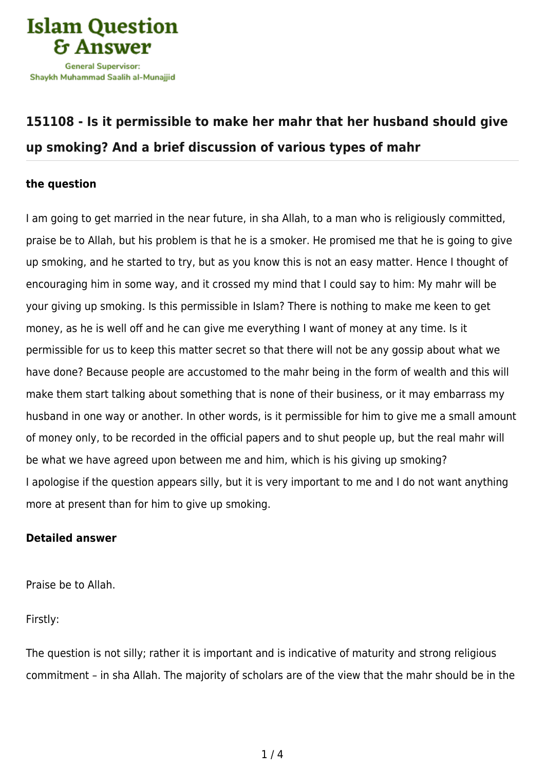

## **[151108 - Is it permissible to make her mahr that her husband should give](https://islamqa.com/en/answers/151108/is-it-permissible-to-make-her-mahr-that-her-husband-should-give-up-smoking-and-a-brief-discussion-of-various-types-of-mahr) [up smoking? And a brief discussion of various types of mahr](https://islamqa.com/en/answers/151108/is-it-permissible-to-make-her-mahr-that-her-husband-should-give-up-smoking-and-a-brief-discussion-of-various-types-of-mahr)**

## **the question**

I am going to get married in the near future, in sha Allah, to a man who is religiously committed, praise be to Allah, but his problem is that he is a smoker. He promised me that he is going to give up smoking, and he started to try, but as you know this is not an easy matter. Hence I thought of encouraging him in some way, and it crossed my mind that I could say to him: My mahr will be your giving up smoking. Is this permissible in Islam? There is nothing to make me keen to get money, as he is well off and he can give me everything I want of money at any time. Is it permissible for us to keep this matter secret so that there will not be any gossip about what we have done? Because people are accustomed to the mahr being in the form of wealth and this will make them start talking about something that is none of their business, or it may embarrass my husband in one way or another. In other words, is it permissible for him to give me a small amount of money only, to be recorded in the official papers and to shut people up, but the real mahr will be what we have agreed upon between me and him, which is his giving up smoking? I apologise if the question appears silly, but it is very important to me and I do not want anything more at present than for him to give up smoking.

## **Detailed answer**

Praise be to Allah.

Firstly:

The question is not silly; rather it is important and is indicative of maturity and strong religious commitment – in sha Allah. The majority of scholars are of the view that the mahr should be in the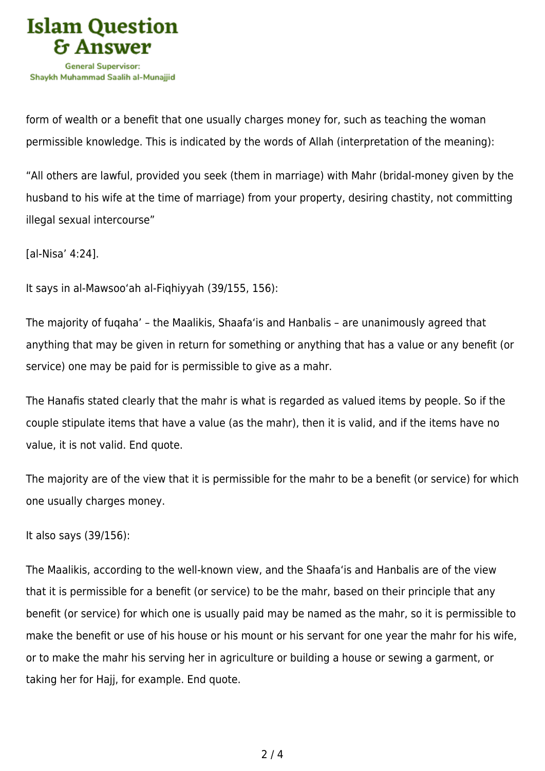

form of wealth or a benefit that one usually charges money for, such as teaching the woman permissible knowledge. This is indicated by the words of Allah (interpretation of the meaning):

"All others are lawful, provided you seek (them in marriage) with Mahr (bridal-money given by the husband to his wife at the time of marriage) from your property, desiring chastity, not committing illegal sexual intercourse"

[al-Nisa' 4:24].

It says in al-Mawsoo'ah al-Fiqhiyyah (39/155, 156):

The majority of fuqaha' – the Maalikis, Shaafa'is and Hanbalis – are unanimously agreed that anything that may be given in return for something or anything that has a value or any benefit (or service) one may be paid for is permissible to give as a mahr.

The Hanafis stated clearly that the mahr is what is regarded as valued items by people. So if the couple stipulate items that have a value (as the mahr), then it is valid, and if the items have no value, it is not valid. End quote.

The majority are of the view that it is permissible for the mahr to be a benefit (or service) for which one usually charges money.

It also says (39/156):

The Maalikis, according to the well-known view, and the Shaafa'is and Hanbalis are of the view that it is permissible for a benefit (or service) to be the mahr, based on their principle that any benefit (or service) for which one is usually paid may be named as the mahr, so it is permissible to make the benefit or use of his house or his mount or his servant for one year the mahr for his wife, or to make the mahr his serving her in agriculture or building a house or sewing a garment, or taking her for Hajj, for example. End quote.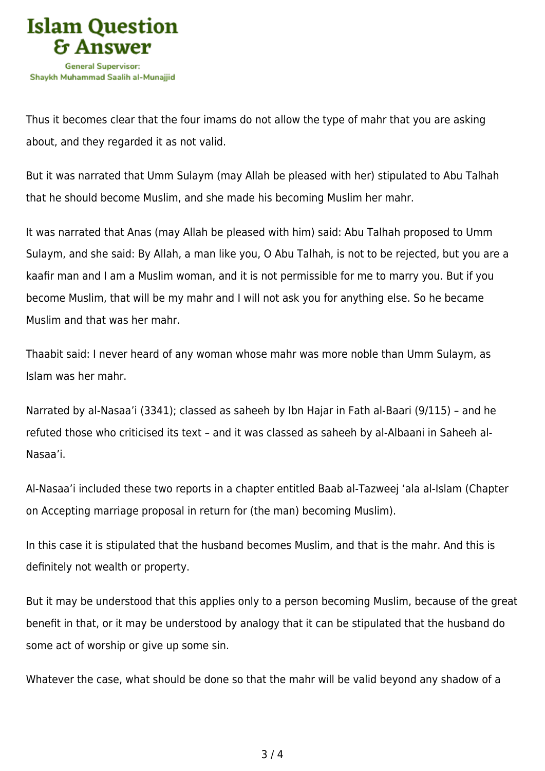

Thus it becomes clear that the four imams do not allow the type of mahr that you are asking about, and they regarded it as not valid.

But it was narrated that Umm Sulaym (may Allah be pleased with her) stipulated to Abu Talhah that he should become Muslim, and she made his becoming Muslim her mahr.

It was narrated that Anas (may Allah be pleased with him) said: Abu Talhah proposed to Umm Sulaym, and she said: By Allah, a man like you, O Abu Talhah, is not to be rejected, but you are a kaafir man and I am a Muslim woman, and it is not permissible for me to marry you. But if you become Muslim, that will be my mahr and I will not ask you for anything else. So he became Muslim and that was her mahr.

Thaabit said: I never heard of any woman whose mahr was more noble than Umm Sulaym, as Islam was her mahr.

Narrated by al-Nasaa'i (3341); classed as saheeh by Ibn Hajar in Fath al-Baari (9/115) – and he refuted those who criticised its text – and it was classed as saheeh by al-Albaani in Saheeh al-Nasaa'i.

Al-Nasaa'i included these two reports in a chapter entitled Baab al-Tazweej 'ala al-Islam (Chapter on Accepting marriage proposal in return for (the man) becoming Muslim).

In this case it is stipulated that the husband becomes Muslim, and that is the mahr. And this is definitely not wealth or property.

But it may be understood that this applies only to a person becoming Muslim, because of the great benefit in that, or it may be understood by analogy that it can be stipulated that the husband do some act of worship or give up some sin.

Whatever the case, what should be done so that the mahr will be valid beyond any shadow of a